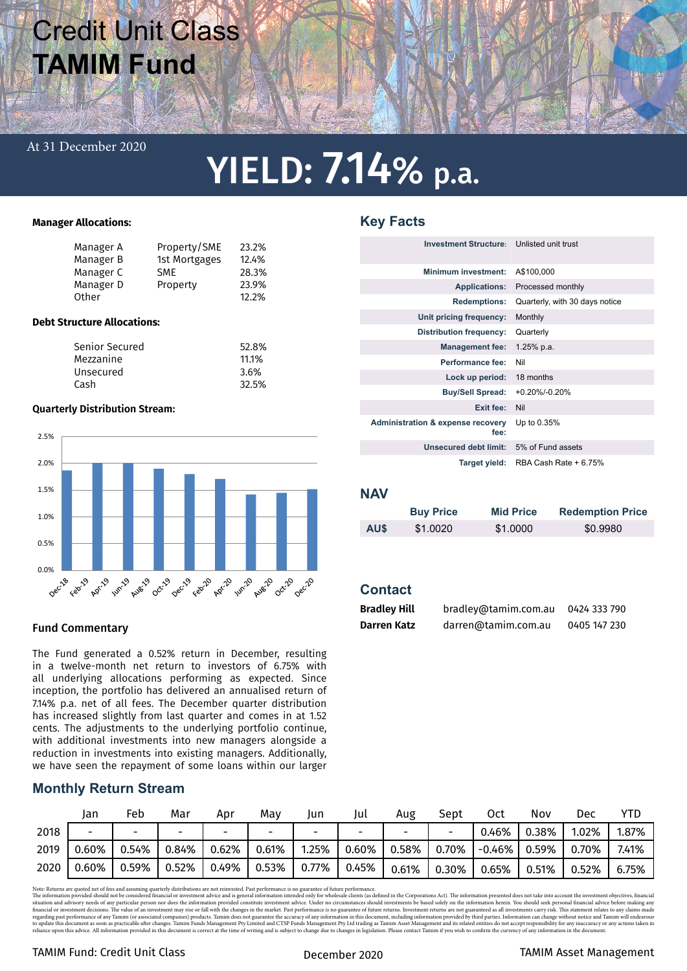# Credit Unit Class **TAMIM Fund**

#### At 31 December 2020

# YIELD: 7.14% p.a.

#### **Manager Allocations:**

|                                    | Manager A      | Property/SME  | 23.2%  |  |  |
|------------------------------------|----------------|---------------|--------|--|--|
|                                    | Manager B      | 1st Mortgages | 12.4%  |  |  |
|                                    | Manager C      | <b>SME</b>    | 28.3%  |  |  |
|                                    | Manager D      | Property      | 23.9%  |  |  |
|                                    | Other          |               | 12.2%  |  |  |
|                                    |                |               |        |  |  |
| <b>Debt Structure Allocations:</b> |                |               |        |  |  |
|                                    | Caniau Canusal |               | ra ooz |  |  |

| Senior Secured | 52.8% |
|----------------|-------|
| Mezzanine      | 11.1% |
| Unsecured      | 3.6%  |
| Cash           | 32.5% |
|                |       |

#### **Quarterly Distribution Stream:**



### Fund Commentary

The Fund generated a 0.52% return in December, resulting in a twelve-month net return to investors of 6.75% with all underlying allocations performing as expected. Since inception, the portfolio has delivered an annualised return of 7.14% p.a. net of all fees. The December quarter distribution has increased slightly from last quarter and comes in at 1.52 cents. The adjustments to the underlying portfolio continue, with additional investments into new managers alongside a reduction in investments into existing managers. Additionally, we have seen the repayment of some loans within our larger

## **Monthly Return Stream**

|      | Jan   | Feb                      | Mar                      | Apr   | May   | Jun      | Jul      | Aug   | Sept  | Oct      | Nov   | Dec   | YTD   |
|------|-------|--------------------------|--------------------------|-------|-------|----------|----------|-------|-------|----------|-------|-------|-------|
| 2018 | -     | $\overline{\phantom{0}}$ | $\overline{\phantom{0}}$ | -     | -     | -        | -        |       | -     | 0.46%    | 0.38% | 1.02% | 1.87% |
| 2019 | 0.60% | 0.54%                    | 0.84%                    | 0.62% | 0.61% | 1.25%    | $0.60\%$ | 0.58% | 0.70% | $-0.46%$ | 0.59% | 0.70% | 7.41% |
| 2020 | 0.60% | 0.59%                    | 0.52%                    | 0.49% | 0.53% | $0.77\%$ | 0.45%    | 0.61% | 0.30% | 0.65%    | 0.51% | 0.52% | 6.75% |

Note: Returns are quoted net of res and assuming quarterly distributions are not reinvested. Past performance is no guarante of future performance. In the investment objectives, financial and a structure investment objecti

# **Key Facts**

| Investment Structure: Unlisted unit trust            |                                |
|------------------------------------------------------|--------------------------------|
| <b>Minimum investment:</b>                           | A\$100,000                     |
| <b>Applications:</b>                                 | Processed monthly              |
| <b>Redemptions:</b>                                  | Quarterly, with 30 days notice |
| Unit pricing frequency:                              | Monthly                        |
| <b>Distribution frequency:</b>                       | Quarterly                      |
| <b>Management fee:</b>                               | $1.25%$ p.a.                   |
| Performance fee:                                     | Nil                            |
| Lock up period:                                      | 18 months                      |
| <b>Buy/Sell Spread:</b>                              | $+0.20\%$ /-0.20%              |
| Exit fee:                                            | Nil                            |
| <b>Administration &amp; expense recovery</b><br>fee: | Up to 0.35%                    |
| Unsecured debt limit:                                | 5% of Fund assets              |
| Target yield:                                        | RBA Cash Rate + 6.75%          |

### **NAV**

|      | <b>Buy Price</b> | <b>Mid Price</b> | <b>Redemption Price</b> |
|------|------------------|------------------|-------------------------|
| AU\$ | \$1,0020         | \$1,0000         | \$0.9980                |

## **Contact**

| <b>Bradley Hill</b> | bradley@tamim.com.au | 0424 333 790 |
|---------------------|----------------------|--------------|
| Darren Katz         | darren@tamim.com.au  | 0405 147 230 |